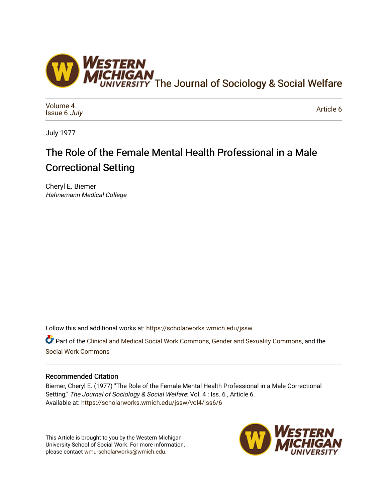

[Volume 4](https://scholarworks.wmich.edu/jssw/vol4) [Issue 6](https://scholarworks.wmich.edu/jssw/vol4/iss6) July

[Article 6](https://scholarworks.wmich.edu/jssw/vol4/iss6/6) 

July 1977

# The Role of the Female Mental Health Professional in a Male Correctional Setting

Cheryl E. Biemer Hahnemann Medical College

Follow this and additional works at: [https://scholarworks.wmich.edu/jssw](https://scholarworks.wmich.edu/jssw?utm_source=scholarworks.wmich.edu%2Fjssw%2Fvol4%2Fiss6%2F6&utm_medium=PDF&utm_campaign=PDFCoverPages) 

Part of the [Clinical and Medical Social Work Commons,](http://network.bepress.com/hgg/discipline/712?utm_source=scholarworks.wmich.edu%2Fjssw%2Fvol4%2Fiss6%2F6&utm_medium=PDF&utm_campaign=PDFCoverPages) [Gender and Sexuality Commons](http://network.bepress.com/hgg/discipline/420?utm_source=scholarworks.wmich.edu%2Fjssw%2Fvol4%2Fiss6%2F6&utm_medium=PDF&utm_campaign=PDFCoverPages), and the [Social Work Commons](http://network.bepress.com/hgg/discipline/713?utm_source=scholarworks.wmich.edu%2Fjssw%2Fvol4%2Fiss6%2F6&utm_medium=PDF&utm_campaign=PDFCoverPages)

# Recommended Citation

Biemer, Cheryl E. (1977) "The Role of the Female Mental Health Professional in a Male Correctional Setting," The Journal of Sociology & Social Welfare: Vol. 4 : Iss. 6 , Article 6. Available at: [https://scholarworks.wmich.edu/jssw/vol4/iss6/6](https://scholarworks.wmich.edu/jssw/vol4/iss6/6?utm_source=scholarworks.wmich.edu%2Fjssw%2Fvol4%2Fiss6%2F6&utm_medium=PDF&utm_campaign=PDFCoverPages) 

This Article is brought to you by the Western Michigan University School of Social Work. For more information, please contact [wmu-scholarworks@wmich.edu.](mailto:wmu-scholarworks@wmich.edu)

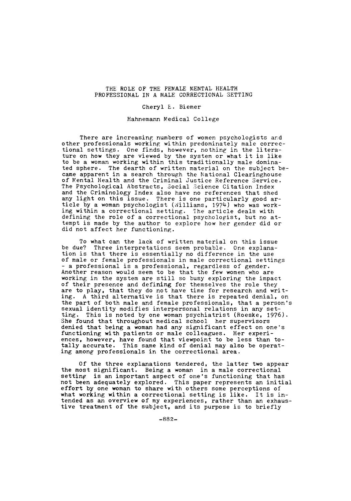### THE ROLE OF THE FEMALE MENTAL HEALTH PROFESSIONAL IN A MALE CORRECTIONAL SETTING

#### Cheryl **E.** Biemer

#### Hahnemann Medical College

There are increasing numbers of women psychologists and other professionals working within predominately male correc- tional settings. One finds, however, nothing in the literature on how they are viewed by the system or what it is like to be a woman working within this traditionally male dominated sphere. The dearth of written material on the subject be came apparent in a search through the National Clearinghouse of Mental Health and the Criminal Justice Reference Service. The Psychological Abstracts, Social Science Citation Index and the Criminology Index also have no references that shed<br>any light on this issue. There is one particularly good article by a woman psychologist (Williams, 1974) who was working within a correctional setting. The article deals with defining the role of a correctional psychologist, but no attempt is made by the author to explore how her gender did or did not affect her functioning.

To what can the lack of written material on this issue<br>be due? Three interpretations seem probable. One explanabe due? Three interpretations seem probable. One explana-<br>tion is that there is essentially no difference in the use of male or female professionals in male correctional settings<br>- a professional is a professional, regardless of gender.<br>Another reason would seem to be that the few women who are working in the system are still so busy exploring the impact of their presence and defining for themselves the role they are to play, that they do not have time for research and writ-<br>ing. A third alternative is that there is repeated denial, on the part of both male and female professionals, that a person's sexual identity modifies interpersonal relations in any setting. This is noted by one woman psychiatrist (Roeske, 1976). She found that throughout medical school her supervisors denied that being a woman had any significant effect on one's functioning with patients or male colleagues. Her experiences, however, have found that viewpoint to be less than totally accurate. This same kind of denial may also be operating among professionals in the correctional area.

Of the three explanations tendered, the latter two appear the most significant. Being a woman in a male correctional setting is an important aspect of one's functioning that has not been adequately explored. This paper represents an initial effort by one woman to share with others some perceptions of what working within a correctional setting is like. It is intended as an overview of my experiences, rather than an exhaustive treatment of the subject, and its purpose is to briefly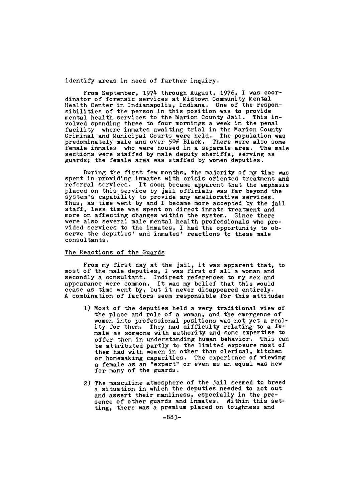identify areas in need of further inquiry.

From September, 1974 through August, 1976, I was coordinator of forensic services at Midtown Community Mental Health Center in Indianapolis, Indiana. One of the responsibilities of the person in this position was to provide mental health services to the Marion County Jail. This involved spending three to four mornings a week in the penal facility where inmates awaiting trial in the Marion County Criminal and Municipal Courts were held. The population was predominately male and over 50% Black. There were also some female inmates who were housed in a separate area. The male sections were staffed by male deputy sheriffs, serving as guards; the female area was staffed by women deputies.

During the first few months, the majority of my time was spent in providing inmates with crisis oriented treatment and referral services. It soon became apparent that the emphasis placed on this service by jail officials was far beyond the system's capability to provide any ameliorative services. Thus, as time went by and I became more accepted by the jail staff, less time was spent on direct inmate treatment and more on affecting changes within the system. Since there were also several male mental health professionals who provided services to the inmates, I had the opportunity to observe the deputies' and inmates' reactions to these male consultants.

# The Reactions of the Guards

From my first day at the jail, it was apparent that, to most of the male deputies, I was first of all a woman and secondly a consultant. Indirect references to my sex and appearance were common. It was my belief that this would cease as time went by, but it never disappeared entirely. A combination of factors seem responsible for this attitude:

- **1)** Most of the deputies held a very traditional view of the place and role of a woman, and the emergence of women into professional positions was not yet a reality for them. They had difficulty relating to a female as someone with authority and some expertise to offer them in understanding human behavior. This can be attributed partly to the limited exposure most of them had with women in other than clerical, kitchen or homemaking capacities. The experience of viewing a female as an "expert" or even as an equal was new for many of the guards.
- 2) The masculine atmosphere of the jail seemed to breed a situation in which the deputies needed to act out and assert their manliness, especially in the presence of other guards and inmates. Within this setting, there was a premium placed on toughness and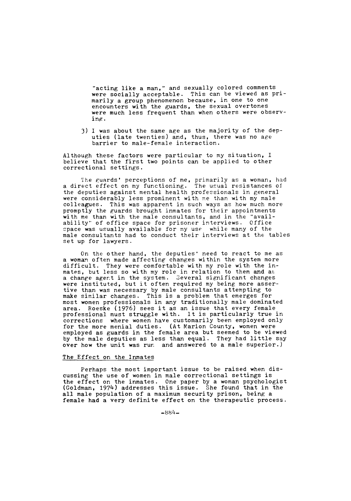"acting like a man," and sexually colored comments were socially acceptable. This can be viewed as primarily a group phenomenon because, in one to one encounters with the guards, the sexual overtones were much less frequent than when others were observing.

3) **1** was about the same age as the majority of the deputies (late twenties) and, thus, there was no age barrier to male-female interaction.

Although these factors were particular to my situation, I believe that the first two points can be applied to other correctional settings.

The guards' perceptions of me, primarily as a woman, had a direct effect on my functioning. The usual resistances of the deputies against mental health professionals in general were considerably less prominent with me than with my male colleagues. This was apparent in such ways as how much more promptly the guards brought inmates for their appointments with me than with the male consultants, and in the "availability" of office space for prisoner interviews. Office space was usually available for my use while many of the male consultants had to conduct their interviews at the tables set up for lawyers.

On the other hand, the deputies' need to react to me as a woman often made affecting changes within the system more difficult. They were comfortable with my role with the inmates, but less so with my role in relation to them and as a change agent in the system. Several significant changes were instituted, but it often required my being more assertive than was necessary by male consultants attempting to make similar changes. This is a problem that emerges for most women professionals in any traditionally male dominated area. Roeske (1976) sees it as an issue that every female professional must struggle with. It is particularly true in corrections where women have customarily been employed only for the more menial duties. (At Marion County, women were employed as guards in the female area but seemed to be viewed by the male deputies as less than equal. They had little say over how the unit was run and answered to a male superior.)

#### The Effect on the Inmates

Perhaps the most important issue to be raised when discussing the use of women in male correctional settings is the effect on the inmates. One paper by a woman psychologist (Goldman, 1974) addresses this issue. She found that in the all male population of a maximum security prison, being a female had a very definite effect on the therapeutic process.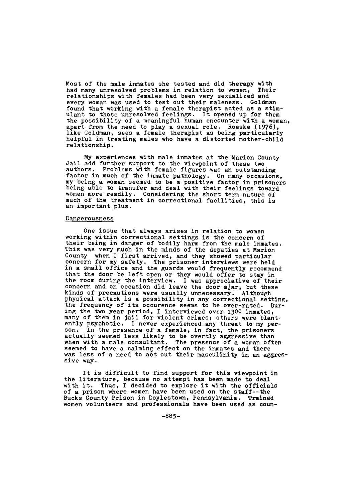Most of the male inmates she tested and did therapy with had many unresolved problems in relation to women, Their relationships with females had been very sexualized and every woman was used to test out their maleness. Goldman found that wbrking with a female therapist acted as a stimulant to those unresolved feelings. It opened up for them the possibility of a meaningful human encounter with a woman, apart from the need to play a sexual role. Roeske **(1976),** like Goldman, sees a female therapist as being particularly helpful in treating males who have a distorted mother-child relationship.

My experiences with male inmates at the Marion County Jail add further support to the viewpoint of these two authors. Problems with female figures was an outstanding factor in much of the inmate pathology. On many occasions, my being a woman seemed to be a positive factor in prisoners being able to transfer and deal with their feelings toward women more readily. Considering the short term nature of much of the treatment in correctional facilities, this is an important plus.

## Dangerousness

One issue that always arises in relation to women working within correctional settings is the concern of their being in danger of bodily harm from the male inmates. This was very much in the minds of the deputies at Marion County when **I** first arrived, and they showed particular concern for my safety. The prisoner interviews were held in a small office and the guards would frequently recommend that the door be left open or they would offer to stay in the room during the interview. I was appreciative of their concern and on occasion did leave the door ajar, but these kinds of precautions were usually unnecessary. Although physical attack is a possibility in any correctional setting, the frequency of its occurence seems to be over-rated. During the two year period, I interviewed over **1300** inmates, many of them in jail for violent crimes; others were blantently psychotic. I never experienced any threat to my per-<br>son. In the presence of a female, in fact, the prisoners actually seemed less likely to be overtly aggressive than when with a male consultant. The presence of a woman often seemed to have a calming effect on the inmates and there was less of a need to act out their masculinity in an aggressive way.

It is difficult to find support for this viewpoint in the literature, because no attempt has been made to deal with it. Thus, I decided to explore it with the officials of a prison where women have been used on the staff--the Bucks County Prison in Doylestown, Pennsylvania. Traindd women volunteers and professionals have been used as coun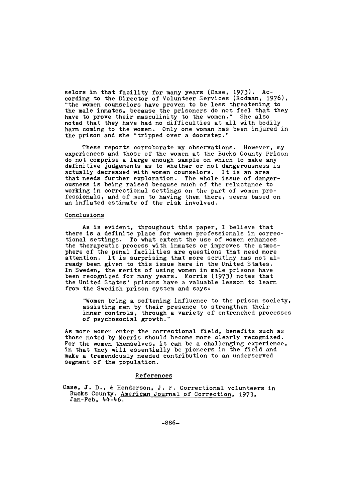selors in that facility for many years (Case, 1973). According to the Director of Volunteer Services (Rodman, 1976), "the women counselors have proven to be less threatening to the male inmates, because the prisoners do not feel that they have to prove their masculinity to the women." She also noted that they have had no difficulties at all with bodily harm coming to the women. Only one woman has been injured in the prison and she "tripped over a doorstep."

These reports corroborate my observations. However, my experiences and those of the women at the Bucks County Prison do not comprise a large enough sample on which to make any definitive judgements as to whether or not dangerousness is actually decreased with women counselors. It is an area<br>that needs further exploration. The whole issue of dangerousness is being raised because much of the reluctance to working in correctional settings on the part of women professionals, and of men to having them there, seems based on an inflated estimate of the risk involved.

#### Conclusions

As is evident, throughout this paper, I believe that there is a definite place for women professionals in correc tional settings. To what extent the use of women enhances the therapeutic process with inmates or improves the atmosphere of the penal facilities are questions that need more attention. It is surprising that more scrutiny has not already been given to this issue here in the United States. In Sweden, the merits of using women in male prisons have been recognized for many years. Morris (1973) notes that the United States' prisons have a valuable lesson to learn from the Swedish prison system and says:

"Women bring a softening influence to the prison society, assisting men by their presence to strengthen their inner controls, through a variety of entrenched processes of psychosocial growth."

As more women enter the correctional field, benefits such as those noted by Morris should become more clearly recognized. For the women themselves, it can be a challenging experience, in that they will essentially be pioneers in the field and make a tremendously needed contribution to an underserved segment of the population.

# References

Case, J. D., & Henderson, J. F. Correctional volunteers in Bucks County. American Journal of Correction, 1973, Jan-Feb, 44-46.